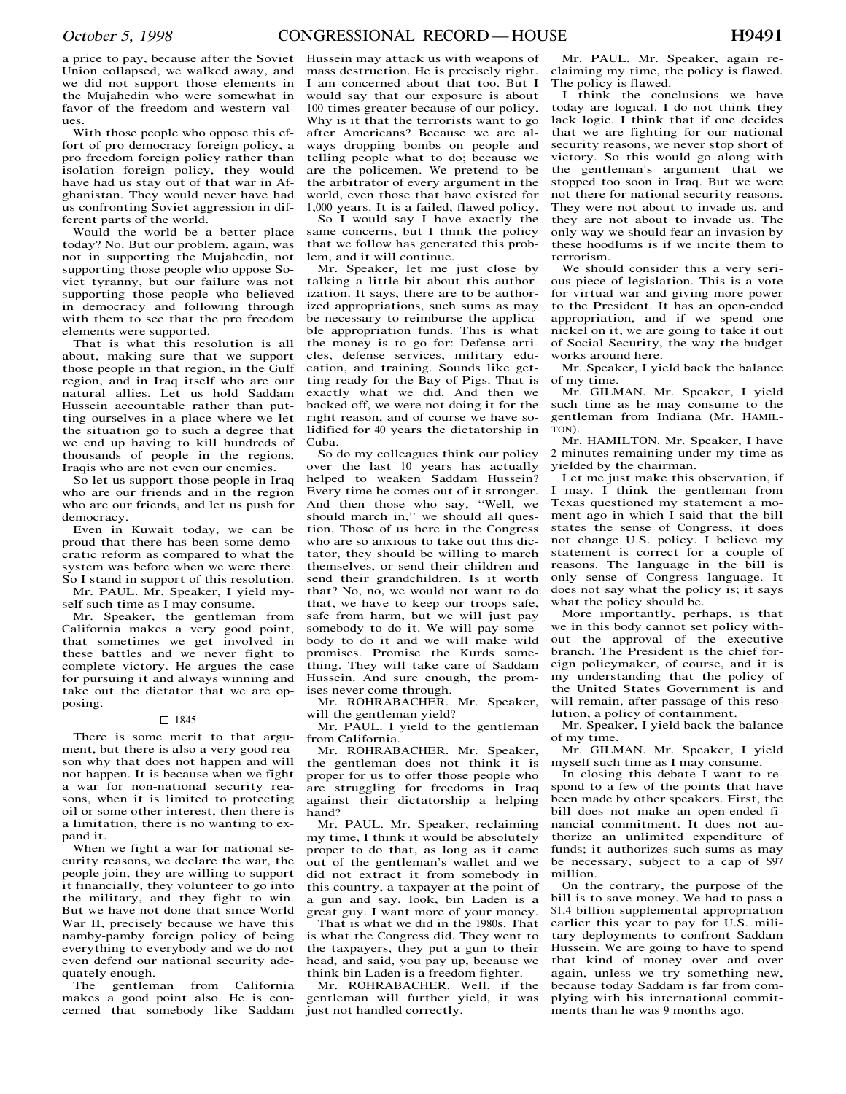a price to pay, because after the Soviet Union collapsed, we walked away, and we did not support those elements in the Mujahedin who were somewhat in favor of the freedom and western values.

With those people who oppose this effort of pro democracy foreign policy, a pro freedom foreign policy rather than isolation foreign policy, they would have had us stay out of that war in Afghanistan. They would never have had us confronting Soviet aggression in different parts of the world.

Would the world be a better place today? No. But our problem, again, was not in supporting the Mujahedin, not supporting those people who oppose Soviet tyranny, but our failure was not supporting those people who believed in democracy and following through with them to see that the pro freedom elements were supported.

That is what this resolution is all about, making sure that we support those people in that region, in the Gulf region, and in Iraq itself who are our natural allies. Let us hold Saddam Hussein accountable rather than putting ourselves in a place where we let the situation go to such a degree that we end up having to kill hundreds of thousands of people in the regions, Iraqis who are not even our enemies.

So let us support those people in Iraq who are our friends and in the region who are our friends, and let us push for democracy.

Even in Kuwait today, we can be proud that there has been some democratic reform as compared to what the system was before when we were there. So I stand in support of this resolution. Mr. PAUL. Mr. Speaker, I yield my-

self such time as I may consume.

Mr. Speaker, the gentleman from California makes a very good point, that sometimes we get involved in these battles and we never fight to complete victory. He argues the case for pursuing it and always winning and take out the dictator that we are opposing.

### $\Box$  1845

There is some merit to that argument, but there is also a very good reason why that does not happen and will not happen. It is because when we fight a war for non-national security reasons, when it is limited to protecting oil or some other interest, then there is a limitation, there is no wanting to expand it.

When we fight a war for national security reasons, we declare the war, the people join, they are willing to support it financially, they volunteer to go into the military, and they fight to win. But we have not done that since World War II, precisely because we have this namby-pamby foreign policy of being everything to everybody and we do not even defend our national security adequately enough.

The gentleman from California makes a good point also. He is concerned that somebody like Saddam

Hussein may attack us with weapons of mass destruction. He is precisely right. I am concerned about that too. But I would say that our exposure is about 100 times greater because of our policy. Why is it that the terrorists want to go after Americans? Because we are always dropping bombs on people and telling people what to do; because we are the policemen. We pretend to be the arbitrator of every argument in the world, even those that have existed for 1,000 years. It is a failed, flawed policy.

So I would say I have exactly the same concerns, but I think the policy that we follow has generated this problem, and it will continue.

Mr. Speaker, let me just close by talking a little bit about this authorization. It says, there are to be authorized appropriations, such sums as may be necessary to reimburse the applicable appropriation funds. This is what the money is to go for: Defense articles, defense services, military education, and training. Sounds like getting ready for the Bay of Pigs. That is exactly what we did. And then we backed off, we were not doing it for the right reason, and of course we have solidified for 40 years the dictatorship in Cuba.

So do my colleagues think our policy over the last 10 years has actually helped to weaken Saddam Hussein? Every time he comes out of it stronger. And then those who say, ''Well, we should march in," we should all question. Those of us here in the Congress who are so anxious to take out this dictator, they should be willing to march themselves, or send their children and send their grandchildren. Is it worth that? No, no, we would not want to do that, we have to keep our troops safe, safe from harm, but we will just pay somebody to do it. We will pay somebody to do it and we will make wild promises. Promise the Kurds something. They will take care of Saddam Hussein. And sure enough, the promises never come through.

Mr. ROHRABACHER. Mr. Speaker, will the gentleman yield?

Mr. PAUL. I yield to the gentleman from California.

Mr. ROHRABACHER. Mr. Speaker, the gentleman does not think it is proper for us to offer those people who are struggling for freedoms in Iraq against their dictatorship a helping hand?

Mr. PAUL. Mr. Speaker, reclaiming my time, I think it would be absolutely proper to do that, as long as it came out of the gentleman's wallet and we did not extract it from somebody in this country, a taxpayer at the point of a gun and say, look, bin Laden is a great guy. I want more of your money.

That is what we did in the 1980s. That is what the Congress did. They went to the taxpayers, they put a gun to their head, and said, you pay up, because we think bin Laden is a freedom fighter.

Mr. ROHRABACHER. Well, if the gentleman will further yield, it was just not handled correctly.

Mr. PAUL. Mr. Speaker, again reclaiming my time, the policy is flawed. The policy is flawed.

I think the conclusions we have today are logical. I do not think they lack logic. I think that if one decides that we are fighting for our national security reasons, we never stop short of victory. So this would go along with the gentleman's argument that we stopped too soon in Iraq. But we were not there for national security reasons. They were not about to invade us, and they are not about to invade us. The only way we should fear an invasion by these hoodlums is if we incite them to terrorism.

We should consider this a very serious piece of legislation. This is a vote for virtual war and giving more power to the President. It has an open-ended appropriation, and if we spend one nickel on it, we are going to take it out of Social Security, the way the budget works around here.

Mr. Speaker, I yield back the balance of my time.

Mr. GILMAN. Mr. Speaker, I yield such time as he may consume to the gentleman from Indiana (Mr. HAMIL-TON).

Mr. HAMILTON. Mr. Speaker, I have 2 minutes remaining under my time as yielded by the chairman.

Let me just make this observation, if I may. I think the gentleman from Texas questioned my statement a moment ago in which  $\overline{I}$  said that the bill states the sense of Congress, it does not change U.S. policy. I believe my statement is correct for a couple of reasons. The language in the bill is only sense of Congress language. It does not say what the policy is; it says what the policy should be.

More importantly, perhaps, is that we in this body cannot set policy without the approval of the executive branch. The President is the chief foreign policymaker, of course, and it is my understanding that the policy of the United States Government is and will remain, after passage of this resolution, a policy of containment.

Mr. Speaker, I yield back the balance of my time.

Mr. GILMAN. Mr. Speaker, I yield myself such time as I may consume.

In closing this debate I want to respond to a few of the points that have been made by other speakers. First, the bill does not make an open-ended financial commitment. It does not authorize an unlimited expenditure of funds; it authorizes such sums as may be necessary, subject to a cap of \$97 million.

On the contrary, the purpose of the bill is to save money. We had to pass a \$1.4 billion supplemental appropriation earlier this year to pay for U.S. military deployments to confront Saddam Hussein. We are going to have to spend that kind of money over and over again, unless we try something new, because today Saddam is far from complying with his international commitments than he was 9 months ago.